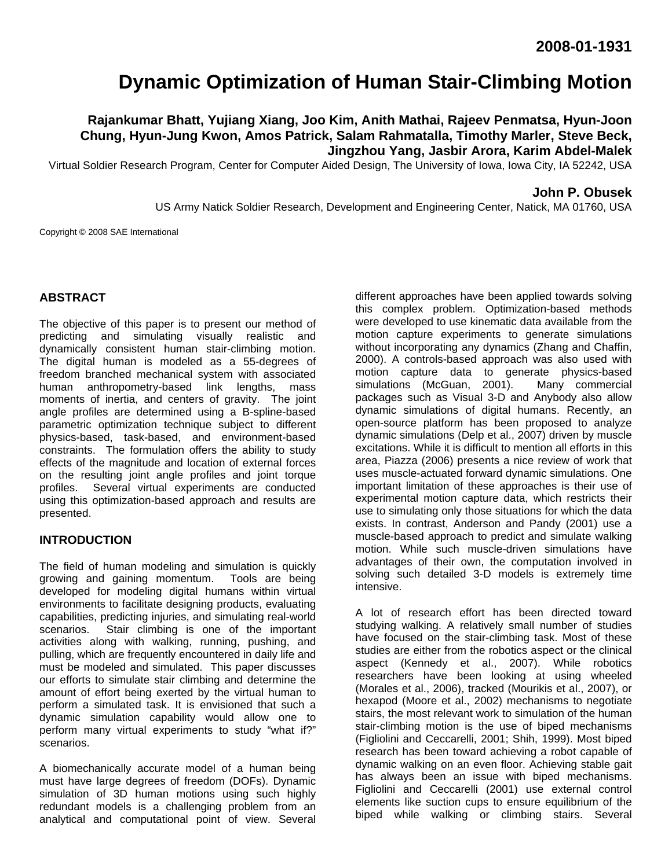# **Dynamic Optimization of Human Stair-Climbing Motion**

**Rajankumar Bhatt, Yujiang Xiang, Joo Kim, Anith Mathai, Rajeev Penmatsa, Hyun-Joon Chung, Hyun-Jung Kwon, Amos Patrick, Salam Rahmatalla, Timothy Marler, Steve Beck, Jingzhou Yang, Jasbir Arora, Karim Abdel-Malek** 

Virtual Soldier Research Program, Center for Computer Aided Design, The University of Iowa, Iowa City, IA 52242, USA

# **John P. Obusek**

US Army Natick Soldier Research, Development and Engineering Center, Natick, MA 01760, USA

Copyright © 2008 SAE International

# **ABSTRACT**

The objective of this paper is to present our method of predicting and simulating visually realistic and dynamically consistent human stair-climbing motion. The digital human is modeled as a 55-degrees of freedom branched mechanical system with associated human anthropometry-based link lengths, mass moments of inertia, and centers of gravity. The joint angle profiles are determined using a B-spline-based parametric optimization technique subject to different physics-based, task-based, and environment-based constraints. The formulation offers the ability to study effects of the magnitude and location of external forces on the resulting joint angle profiles and joint torque profiles. Several virtual experiments are conducted Several virtual experiments are conducted using this optimization-based approach and results are presented.

# **INTRODUCTION**

The field of human modeling and simulation is quickly growing and gaining momentum. Tools are being developed for modeling digital humans within virtual environments to facilitate designing products, evaluating capabilities, predicting injuries, and simulating real-world scenarios. Stair climbing is one of the important activities along with walking, running, pushing, and pulling, which are frequently encountered in daily life and must be modeled and simulated. This paper discusses our efforts to simulate stair climbing and determine the amount of effort being exerted by the virtual human to perform a simulated task. It is envisioned that such a dynamic simulation capability would allow one to perform many virtual experiments to study "what if?" scenarios.

A biomechanically accurate model of a human being must have large degrees of freedom (DOFs). Dynamic simulation of 3D human motions using such highly redundant models is a challenging problem from an analytical and computational point of view. Several

different approaches have been applied towards solving this complex problem. Optimization-based methods were developed to use kinematic data available from the motion capture experiments to generate simulations without incorporating any dynamics (Zhang and Chaffin, 2000). A controls-based approach was also used with motion capture data to generate physics-based simulations (McGuan, 2001). Many commercial packages such as Visual 3-D and Anybody also allow dynamic simulations of digital humans. Recently, an open-source platform has been proposed to analyze dynamic simulations (Delp et al., 2007) driven by muscle excitations. While it is difficult to mention all efforts in this area, Piazza (2006) presents a nice review of work that uses muscle-actuated forward dynamic simulations. One important limitation of these approaches is their use of experimental motion capture data, which restricts their use to simulating only those situations for which the data exists. In contrast, Anderson and Pandy (2001) use a muscle-based approach to predict and simulate walking motion. While such muscle-driven simulations have advantages of their own, the computation involved in solving such detailed 3-D models is extremely time intensive.

A lot of research effort has been directed toward studying walking. A relatively small number of studies have focused on the stair-climbing task. Most of these studies are either from the robotics aspect or the clinical aspect (Kennedy et al., 2007). While robotics researchers have been looking at using wheeled (Morales et al., 2006), tracked (Mourikis et al., 2007), or hexapod (Moore et al., 2002) mechanisms to negotiate stairs, the most relevant work to simulation of the human stair-climbing motion is the use of biped mechanisms (Figliolini and Ceccarelli, 2001; Shih, 1999). Most biped research has been toward achieving a robot capable of dynamic walking on an even floor. Achieving stable gait has always been an issue with biped mechanisms. Figliolini and Ceccarelli (2001) use external control elements like suction cups to ensure equilibrium of the biped while walking or climbing stairs. Several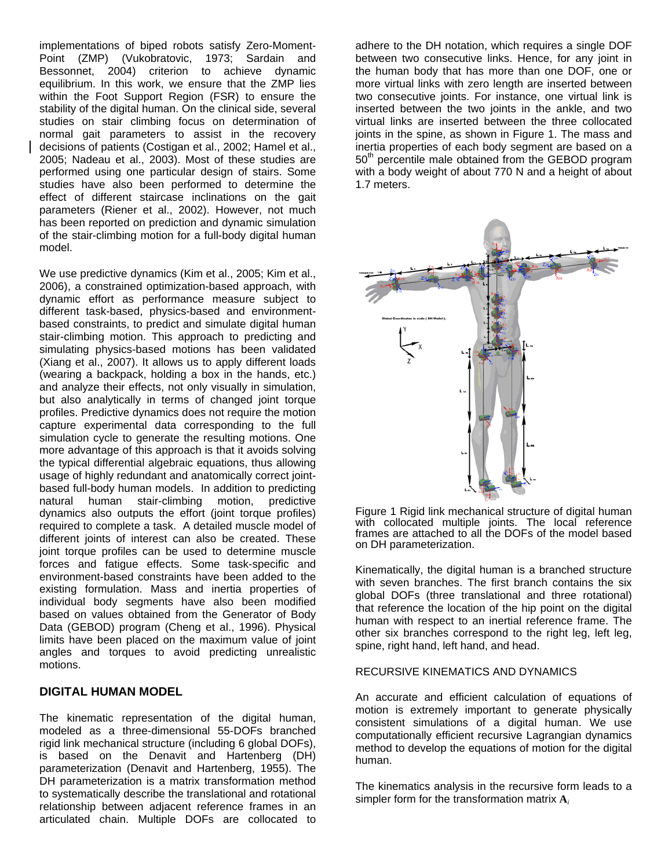implementations of biped robots satisfy Zero-Moment-Point (ZMP) (Vukobratovic, 1973; Sardain and Bessonnet, 2004) criterion to achieve dynamic equilibrium. In this work, we ensure that the ZMP lies within the Foot Support Region (FSR) to ensure the stability of the digital human. On the clinical side, several studies on stair climbing focus on determination of normal gait parameters to assist in the recovery decisions of patients (Costigan et al., 2002; Hamel et al., 2005; Nadeau et al., 2003). Most of these studies are performed using one particular design of stairs. Some studies have also been performed to determine the effect of different staircase inclinations on the gait parameters (Riener et al., 2002). However, not much has been reported on prediction and dynamic simulation of the stair-climbing motion for a full-body digital human model.

We use predictive dynamics (Kim et al., 2005; Kim et al., 2006), a constrained optimization-based approach, with dynamic effort as performance measure subject to different task-based, physics-based and environmentbased constraints, to predict and simulate digital human stair-climbing motion. This approach to predicting and simulating physics-based motions has been validated (Xiang et al., 2007). It allows us to apply different loads (wearing a backpack, holding a box in the hands, etc.) and analyze their effects, not only visually in simulation, but also analytically in terms of changed joint torque profiles. Predictive dynamics does not require the motion capture experimental data corresponding to the full simulation cycle to generate the resulting motions. One more advantage of this approach is that it avoids solving the typical differential algebraic equations, thus allowing usage of highly redundant and anatomically correct jointbased full-body human models. In addition to predicting natural human stair-climbing motion, predictive dynamics also outputs the effort (joint torque profiles) required to complete a task. A detailed muscle model of different joints of interest can also be created. These joint torque profiles can be used to determine muscle forces and fatigue effects. Some task-specific and environment-based constraints have been added to the existing formulation. Mass and inertia properties of individual body segments have also been modified based on values obtained from the Generator of Body Data (GEBOD) program (Cheng et al., 1996). Physical limits have been placed on the maximum value of joint angles and torques to avoid predicting unrealistic motions.

# **DIGITAL HUMAN MODEL**

The kinematic representation of the digital human, modeled as a three-dimensional 55-DOFs branched rigid link mechanical structure (including 6 global DOFs), is based on the Denavit and Hartenberg (DH) parameterization (Denavit and Hartenberg, 1955). The DH parameterization is a matrix transformation method to systematically describe the translational and rotational relationship between adjacent reference frames in an articulated chain. Multiple DOFs are collocated to

adhere to the DH notation, which requires a single DOF between two consecutive links. Hence, for any joint in the human body that has more than one DOF, one or more virtual links with zero length are inserted between two consecutive joints. For instance, one virtual link is inserted between the two joints in the ankle, and two virtual links are inserted between the three collocated joints in the spine, as shown in Figure 1. The mass and inertia properties of each body segment are based on a 50<sup>th</sup> percentile male obtained from the GEBOD program with a body weight of about 770 N and a height of about 1.7 meters.



Figure 1 Rigid link mechanical structure of digital human with collocated multiple joints. The local reference frames are attached to all the DOFs of the model based on DH parameterization.

Kinematically, the digital human is a branched structure with seven branches. The first branch contains the six global DOFs (three translational and three rotational) that reference the location of the hip point on the digital human with respect to an inertial reference frame. The other six branches correspond to the right leg, left leg, spine, right hand, left hand, and head.

#### RECURSIVE KINEMATICS AND DYNAMICS

An accurate and efficient calculation of equations of motion is extremely important to generate physically consistent simulations of a digital human. We use computationally efficient recursive Lagrangian dynamics method to develop the equations of motion for the digital human.

The kinematics analysis in the recursive form leads to a simpler form for the transformation matrix **A***i*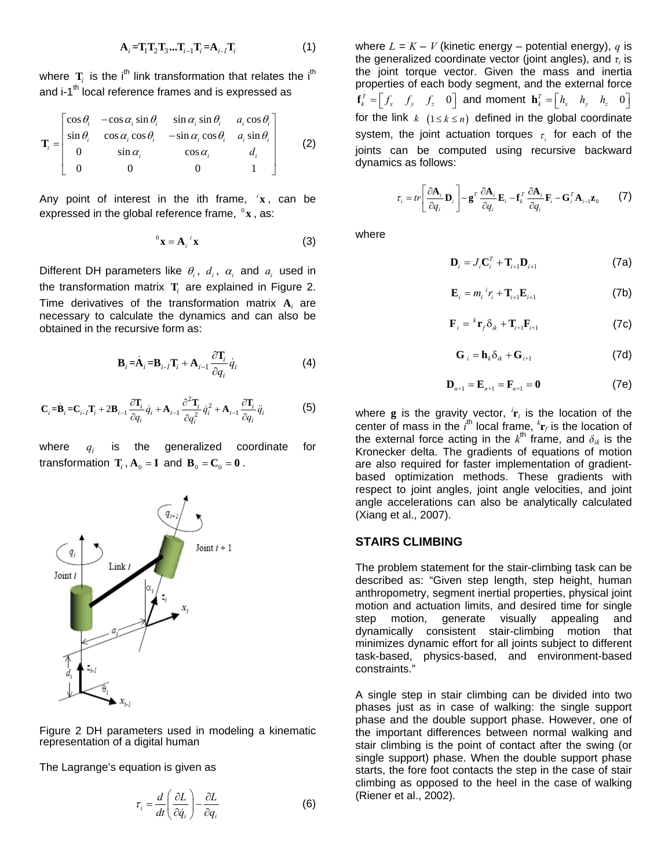$$
\mathbf{A}_{i} = \mathbf{T}_{1} \mathbf{T}_{2} \mathbf{T}_{3} \dots \mathbf{T}_{i-1} \mathbf{T}_{i} = \mathbf{A}_{i-1} \mathbf{T}_{i} \tag{1}
$$

where  $\mathbf{T}_i$  is the i<sup>th</sup> link transformation that relates the i<sup>th</sup> and i-1<sup>th</sup> local reference frames and is expressed as

$$
\mathbf{T}_{i} = \begin{bmatrix} \cos \theta_{i} & -\cos \alpha_{i} \sin \theta_{i} & \sin \alpha_{i} \sin \theta_{i} & a_{i} \cos \theta_{i} \\ \sin \theta_{i} & \cos \alpha_{i} \cos \theta_{i} & -\sin \alpha_{i} \cos \theta_{i} & a_{i} \sin \theta_{i} \\ 0 & \sin \alpha_{i} & \cos \alpha_{i} & d_{i} \\ 0 & 0 & 0 & 1 \end{bmatrix}
$$
 (2)

Any point of interest in the ith frame,  $i\mathbf{x}$ , can be expressed in the global reference frame,  $\mathbf{^0x}$ , as:

$$
{}^{0}\mathbf{x} = \mathbf{A}_{i}^{\ \ i}\mathbf{x} \tag{3}
$$

Different DH parameters like  $\theta_i$ ,  $d_i$ ,  $\alpha_i$  and  $a_i$  used in the transformation matrix **T***i* are explained in Figure 2. Time derivatives of the transformation matrix **A***i* are necessary to calculate the dynamics and can also be obtained in the recursive form as:

$$
\mathbf{B}_{i} = \dot{\mathbf{A}}_{i} = \mathbf{B}_{i-1} \mathbf{T}_{i} + \mathbf{A}_{i-1} \frac{\partial \mathbf{T}_{i}}{\partial q_{i}} \dot{q}_{i}
$$
(4)

$$
\mathbf{C}_{i} = \dot{\mathbf{B}}_{i} = \mathbf{C}_{i-1} \mathbf{T}_{i} + 2 \mathbf{B}_{i-1} \frac{\partial \mathbf{T}_{i}}{\partial q_{i}} \dot{q}_{i} + \mathbf{A}_{i-1} \frac{\partial^{2} \mathbf{T}_{i}}{\partial q_{i}^{2}} \dot{q}_{i}^{2} + \mathbf{A}_{i-1} \frac{\partial \mathbf{T}_{i}}{\partial q_{i}} \ddot{q}_{i}
$$
(5)

where  $q_i$  is the generalized coordinate for transformation  $\mathbf{T}_i$ ,  $\mathbf{A}_0 = \mathbf{I}$  and  $\mathbf{B}_0 = \mathbf{C}_0 = \mathbf{0}$ .



Figure 2 DH parameters used in modeling a kinematic representation of a digital human

The Lagrange's equation is given as

$$
\tau_i = \frac{d}{dt} \left( \frac{\partial L}{\partial \dot{q}_i} \right) - \frac{\partial L}{\partial q_i} \tag{6}
$$

where  $L = K - V$  (kinetic energy – potential energy),  $q$  is the generalized coordinate vector (joint angles), and *τi* is the joint torque vector. Given the mass and inertia properties of each body segment, and the external force  $\mathbf{f}_k^T = \begin{bmatrix} f_x & f_y & f_z & 0 \end{bmatrix}$  and moment  $\mathbf{h}_k^T = \begin{bmatrix} h_x & h_y & h_z & 0 \end{bmatrix}$ for the link  $k \ (1 \le k \le n)$  defined in the global coordinate system, the joint actuation torques  $\tau_i$  for each of the joints can be computed using recursive backward dynamics as follows:

$$
\tau_i = tr \left[ \frac{\partial \mathbf{A}_i}{\partial q_i} \mathbf{D}_i \right] - \mathbf{g}^T \frac{\partial \mathbf{A}_i}{\partial q_i} \mathbf{E}_i - \mathbf{f}_k^T \frac{\partial \mathbf{A}_i}{\partial q_i} \mathbf{F}_i - \mathbf{G}_i^T \mathbf{A}_{i-1} \mathbf{z}_0 \tag{7}
$$

where

$$
\mathbf{D}_{i} = J_{i} \mathbf{C}_{i}^{T} + \mathbf{T}_{i+1} \mathbf{D}_{i+1}
$$
 (7a)

$$
\mathbf{E}_{i} = m_{i}^{\ \ i} r_{i} + \mathbf{T}_{i+1} \mathbf{E}_{i+1} \tag{7b}
$$

$$
\mathbf{F}_{i} = {}^{k} \mathbf{r}_{f} \delta_{ik} + \mathbf{T}_{i+1} \mathbf{F}_{i+1}
$$
 (7c)

$$
\mathbf{G}_{i} = \mathbf{h}_{k} \delta_{ik} + \mathbf{G}_{i+1}
$$
 (7d)

$$
\mathbf{D}_{n+1} = \mathbf{E}_{n+1} = \mathbf{F}_{n+1} = \mathbf{0} \tag{7e}
$$

where **g** is the gravity vector, *<sup>i</sup>* **r***i* is the location of the center of mass in the  $i^{\text{th}}$  local frame,  ${}^{k}$ **r** $f$  is the location of the external force acting in the  $k^{\text{th}}$  frame, and  $\delta_{ik}$  is the Kronecker delta. The gradients of equations of motion are also required for faster implementation of gradientbased optimization methods. These gradients with respect to joint angles, joint angle velocities, and joint angle accelerations can also be analytically calculated (Xiang et al., 2007).

#### **STAIRS CLIMBING**

The problem statement for the stair-climbing task can be described as: "Given step length, step height, human anthropometry, segment inertial properties, physical joint motion and actuation limits, and desired time for single step motion, generate visually appealing and dynamically consistent stair-climbing motion that minimizes dynamic effort for all joints subject to different task-based, physics-based, and environment-based constraints."

A single step in stair climbing can be divided into two phases just as in case of walking: the single support phase and the double support phase. However, one of the important differences between normal walking and stair climbing is the point of contact after the swing (or single support) phase. When the double support phase starts, the fore foot contacts the step in the case of stair climbing as opposed to the heel in the case of walking (Riener et al., 2002).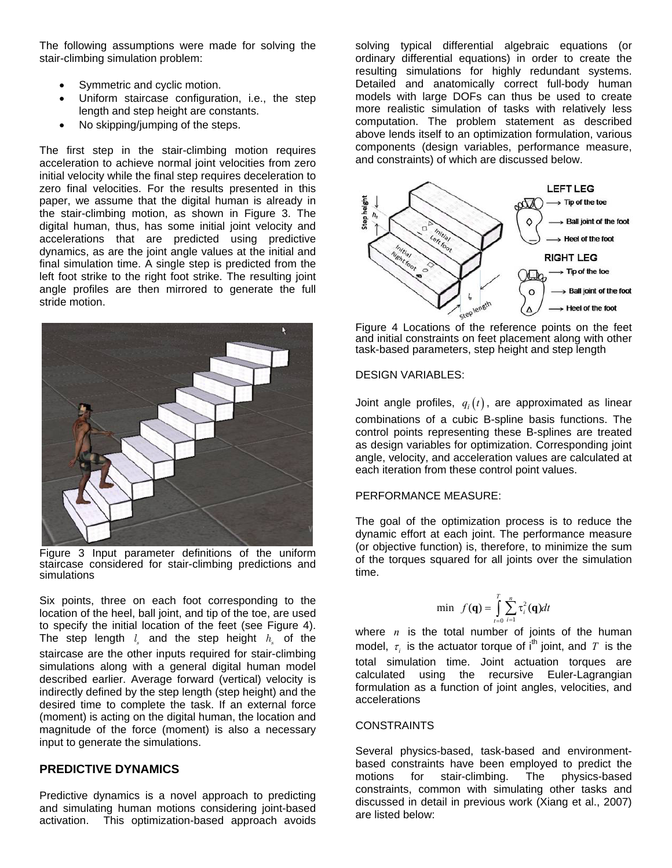The following assumptions were made for solving the stair-climbing simulation problem:

- Symmetric and cyclic motion.
- Uniform staircase configuration, i.e., the step length and step height are constants.
- No skipping/jumping of the steps.

The first step in the stair-climbing motion requires acceleration to achieve normal joint velocities from zero initial velocity while the final step requires deceleration to zero final velocities. For the results presented in this paper, we assume that the digital human is already in the stair-climbing motion, as shown in Figure 3. The digital human, thus, has some initial joint velocity and accelerations that are predicted using predictive dynamics, as are the joint angle values at the initial and final simulation time. A single step is predicted from the left foot strike to the right foot strike. The resulting joint angle profiles are then mirrored to generate the full stride motion.



Figure 3 Input parameter definitions of the uniform staircase considered for stair-climbing predictions and simulations

Six points, three on each foot corresponding to the location of the heel, ball joint, and tip of the toe, are used to specify the initial location of the feet (see Figure 4). The step length  $l<sub>s</sub>$  and the step height  $h<sub>s</sub>$  of the staircase are the other inputs required for stair-climbing simulations along with a general digital human model described earlier. Average forward (vertical) velocity is indirectly defined by the step length (step height) and the desired time to complete the task. If an external force (moment) is acting on the digital human, the location and magnitude of the force (moment) is also a necessary input to generate the simulations.

# **PREDICTIVE DYNAMICS**

Predictive dynamics is a novel approach to predicting and simulating human motions considering joint-based activation. This optimization-based approach avoids

solving typical differential algebraic equations (or ordinary differential equations) in order to create the resulting simulations for highly redundant systems. Detailed and anatomically correct full-body human models with large DOFs can thus be used to create more realistic simulation of tasks with relatively less computation. The problem statement as described above lends itself to an optimization formulation, various components (design variables, performance measure, and constraints) of which are discussed below.



Figure 4 Locations of the reference points on the feet and initial constraints on feet placement along with other task-based parameters, step height and step length

#### DESIGN VARIABLES:

Joint angle profiles,  $q_i(t)$ , are approximated as linear combinations of a cubic B-spline basis functions. The control points representing these B-splines are treated as design variables for optimization. Corresponding joint angle, velocity, and acceleration values are calculated at each iteration from these control point values.

#### PERFORMANCE MEASURE:

The goal of the optimization process is to reduce the dynamic effort at each joint. The performance measure (or objective function) is, therefore, to minimize the sum of the torques squared for all joints over the simulation time.

$$
\min f(\mathbf{q}) = \int_{t=0}^{T} \sum_{i=1}^{n} \tau_i^2(\mathbf{q}) dt
$$

where *n* is the total number of joints of the human model,  $\tau_i$  is the actuator torque of i<sup>th</sup> joint, and *T* is the total simulation time. Joint actuation torques are calculated using the recursive Euler-Lagrangian formulation as a function of joint angles, velocities, and accelerations

# **CONSTRAINTS**

Several physics-based, task-based and environmentbased constraints have been employed to predict the motions for stair-climbing. The physics-based constraints, common with simulating other tasks and discussed in detail in previous work (Xiang et al., 2007) are listed below: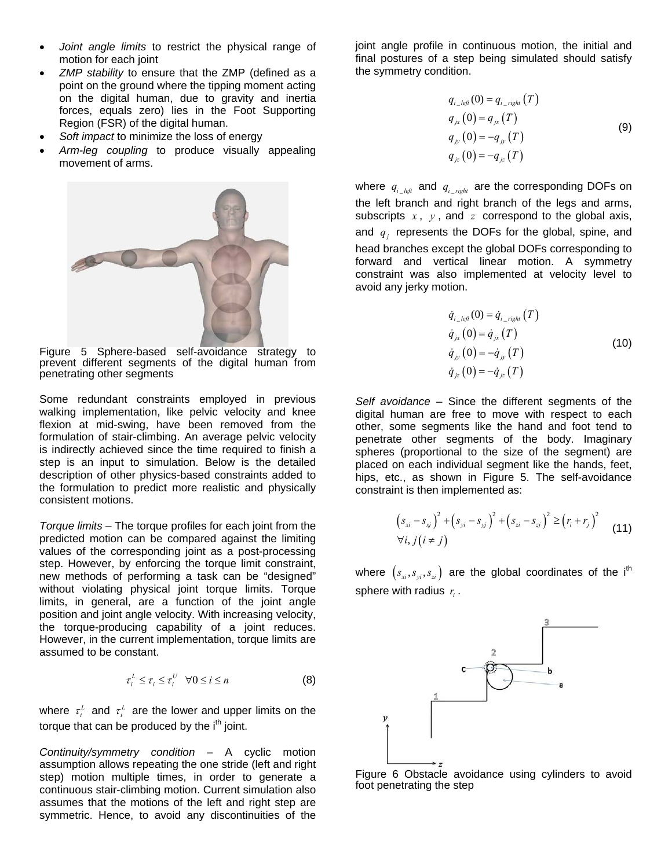- *Joint angle limits* to restrict the physical range of motion for each joint
- *ZMP stability* to ensure that the ZMP (defined as a point on the ground where the tipping moment acting on the digital human, due to gravity and inertia forces, equals zero) lies in the Foot Supporting Region (FSR) of the digital human.
- *Soft impact* to minimize the loss of energy
- *Arm-leg coupling* to produce visually appealing movement of arms.



Figure 5 Sphere-based self-avoidance strategy to prevent different segments of the digital human from penetrating other segments

Some redundant constraints employed in previous walking implementation, like pelvic velocity and knee flexion at mid-swing, have been removed from the formulation of stair-climbing. An average pelvic velocity is indirectly achieved since the time required to finish a step is an input to simulation. Below is the detailed description of other physics-based constraints added to the formulation to predict more realistic and physically consistent motions.

*Torque limits* – The torque profiles for each joint from the predicted motion can be compared against the limiting values of the corresponding joint as a post-processing step. However, by enforcing the torque limit constraint, new methods of performing a task can be "designed" without violating physical joint torque limits. Torque limits, in general, are a function of the joint angle position and joint angle velocity. With increasing velocity, the torque-producing capability of a joint reduces. However, in the current implementation, torque limits are assumed to be constant.

$$
\tau_i^L \leq \tau_i \leq \tau_i^U \quad \forall 0 \leq i \leq n \tag{8}
$$

where  $\tau_i^L$  and  $\tau_i^L$  are the lower and upper limits on the torque that can be produced by the  $i<sup>th</sup>$  joint.

*Continuity/symmetry condition* – A cyclic motion assumption allows repeating the one stride (left and right step) motion multiple times, in order to generate a continuous stair-climbing motion. Current simulation also assumes that the motions of the left and right step are symmetric. Hence, to avoid any discontinuities of the

joint angle profile in continuous motion, the initial and final postures of a step being simulated should satisfy the symmetry condition.

$$
q_{i\_left}(0) = q_{i\_right}(T)
$$
  
\n
$$
q_{jx}(0) = q_{jx}(T)
$$
  
\n
$$
q_{jy}(0) = -q_{jy}(T)
$$
  
\n
$$
q_{jz}(0) = -q_{jz}(T)
$$
\n(9)

where  $q_{i_{\text{left}}$  and  $q_{i_{\text{right}}}$  are the corresponding DOFs on the left branch and right branch of the legs and arms, subscripts *x* , *y* , and *z* correspond to the global axis, and  $q_j$  represents the DOFs for the global, spine, and head branches except the global DOFs corresponding to forward and vertical linear motion. A symmetry constraint was also implemented at velocity level to avoid any jerky motion.

$$
\dot{q}_{i\_left}(0) = \dot{q}_{i\_right}(T) \n\dot{q}_{jx}(0) = \dot{q}_{jx}(T) \n\dot{q}_{jy}(0) = -\dot{q}_{jy}(T) \n\dot{q}_{jz}(0) = -\dot{q}_{jz}(T)
$$
\n(10)

*Self avoidance* – Since the different segments of the digital human are free to move with respect to each other, some segments like the hand and foot tend to penetrate other segments of the body. Imaginary spheres (proportional to the size of the segment) are placed on each individual segment like the hands, feet, hips, etc., as shown in Figure 5. The self-avoidance constraint is then implemented as:

$$
(s_{xi} - s_{xi})^{2} + (s_{yi} - s_{yi})^{2} + (s_{zi} - s_{zi})^{2} \ge (r_{i} + r_{j})^{2}
$$
 (11)

where  $(s_{x_i}, s_{y_i}, s_{z_i})$  are the global coordinates of the i<sup>th</sup> sphere with radius  $r_i$ .



Figure 6 Obstacle avoidance using cylinders to avoid foot penetrating the step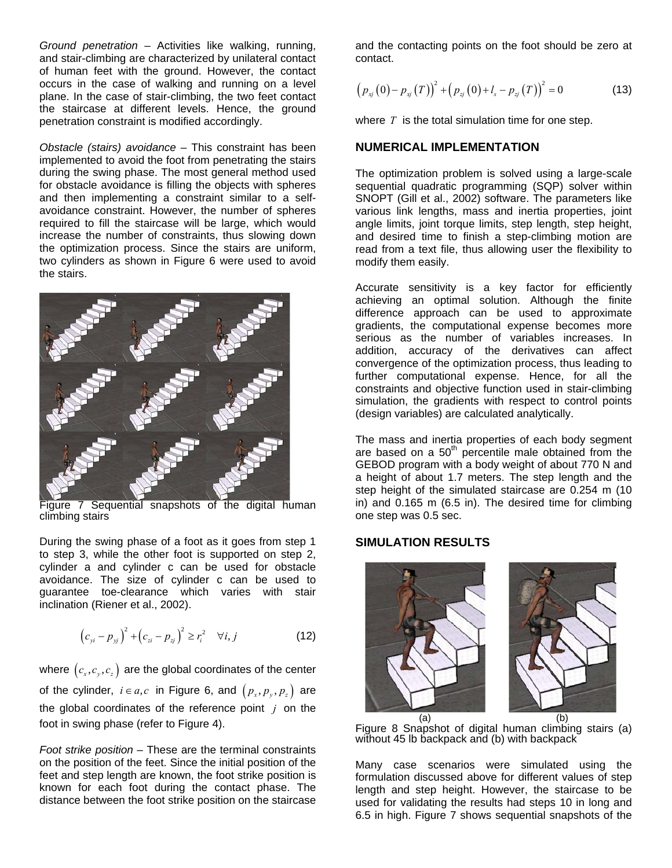*Ground penetration* – Activities like walking, running, and stair-climbing are characterized by unilateral contact of human feet with the ground. However, the contact occurs in the case of walking and running on a level plane. In the case of stair-climbing, the two feet contact the staircase at different levels. Hence, the ground penetration constraint is modified accordingly.

*Obstacle (stairs) avoidance* – This constraint has been implemented to avoid the foot from penetrating the stairs during the swing phase. The most general method used for obstacle avoidance is filling the objects with spheres and then implementing a constraint similar to a selfavoidance constraint. However, the number of spheres required to fill the staircase will be large, which would increase the number of constraints, thus slowing down the optimization process. Since the stairs are uniform, two cylinders as shown in Figure 6 were used to avoid the stairs.



Figure 7 Sequential snapshots of the digital human climbing stairs

During the swing phase of a foot as it goes from step 1 to step 3, while the other foot is supported on step 2, cylinder a and cylinder c can be used for obstacle avoidance. The size of cylinder c can be used to guarantee toe-clearance which varies with stair inclination (Riener et al., 2002).

$$
(c_{yi} - p_{yj})^2 + (c_{zi} - p_{zj})^2 \ge r_i^2 \quad \forall i, j
$$
 (12)

where  $(c_x, c_y, c_z)$  are the global coordinates of the center of the cylinder,  $i \in a, c$  in Figure 6, and  $(p_x, p_y, p_z)$  are the global coordinates of the reference point *j* on the foot in swing phase (refer to Figure 4).

*Foot strike position* – These are the terminal constraints on the position of the feet. Since the initial position of the feet and step length are known, the foot strike position is known for each foot during the contact phase. The distance between the foot strike position on the staircase

and the contacting points on the foot should be zero at contact.

$$
(p_{xj}(0) - p_{xj}(T))^{2} + (p_{zj}(0) + l_{s} - p_{zj}(T))^{2} = 0
$$
\n(13)

where *T* is the total simulation time for one step.

### **NUMERICAL IMPLEMENTATION**

The optimization problem is solved using a large-scale sequential quadratic programming (SQP) solver within SNOPT (Gill et al., 2002) software. The parameters like various link lengths, mass and inertia properties, joint angle limits, joint torque limits, step length, step height, and desired time to finish a step-climbing motion are read from a text file, thus allowing user the flexibility to modify them easily.

Accurate sensitivity is a key factor for efficiently achieving an optimal solution. Although the finite difference approach can be used to approximate gradients, the computational expense becomes more serious as the number of variables increases. In addition, accuracy of the derivatives can affect convergence of the optimization process, thus leading to further computational expense. Hence, for all the constraints and objective function used in stair-climbing simulation, the gradients with respect to control points (design variables) are calculated analytically.

The mass and inertia properties of each body segment are based on a  $50<sup>th</sup>$  percentile male obtained from the GEBOD program with a body weight of about 770 N and a height of about 1.7 meters. The step length and the step height of the simulated staircase are 0.254 m (10 in) and 0.165 m (6.5 in). The desired time for climbing one step was 0.5 sec.

## **SIMULATION RESULTS**



Figure 8 Snapshot of digital human climbing stairs (a) without 45 lb backpack and (b) with backpack

Many case scenarios were simulated using the formulation discussed above for different values of step length and step height. However, the staircase to be used for validating the results had steps 10 in long and 6.5 in high. Figure 7 shows sequential snapshots of the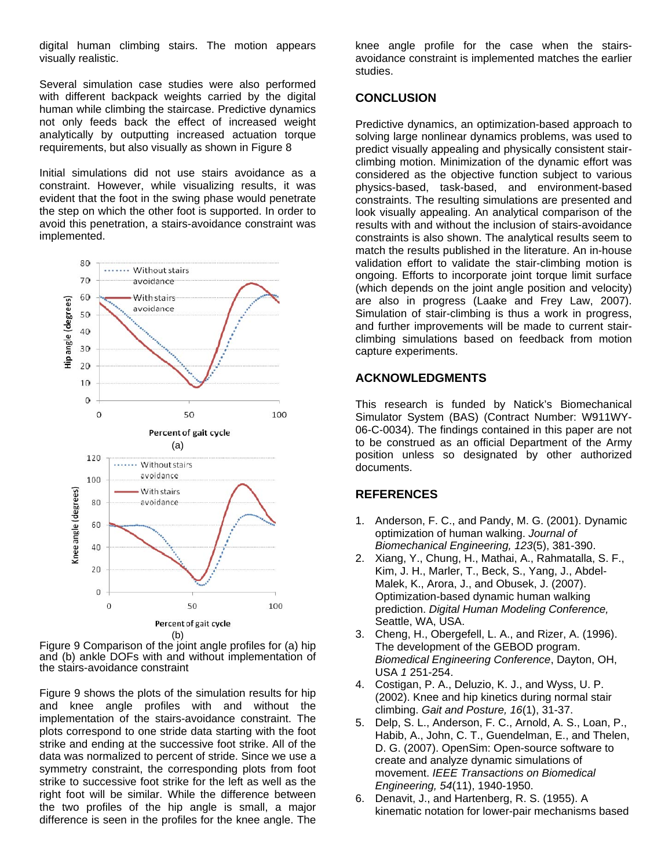digital human climbing stairs. The motion appears visually realistic.

Several simulation case studies were also performed with different backpack weights carried by the digital human while climbing the staircase. Predictive dynamics not only feeds back the effect of increased weight analytically by outputting increased actuation torque requirements, but also visually as shown in Figure 8

Initial simulations did not use stairs avoidance as a constraint. However, while visualizing results, it was evident that the foot in the swing phase would penetrate the step on which the other foot is supported. In order to avoid this penetration, a stairs-avoidance constraint was implemented.



Figure 9 Comparison of the joint angle profiles for (a) hip and (b) ankle DOFs with and without implementation of the stairs-avoidance constraint

Figure 9 shows the plots of the simulation results for hip and knee angle profiles with and without the implementation of the stairs-avoidance constraint. The plots correspond to one stride data starting with the foot strike and ending at the successive foot strike. All of the data was normalized to percent of stride. Since we use a symmetry constraint, the corresponding plots from foot strike to successive foot strike for the left as well as the right foot will be similar. While the difference between the two profiles of the hip angle is small, a major difference is seen in the profiles for the knee angle. The

knee angle profile for the case when the stairsavoidance constraint is implemented matches the earlier studies.

# **CONCLUSION**

Predictive dynamics, an optimization-based approach to solving large nonlinear dynamics problems, was used to predict visually appealing and physically consistent stairclimbing motion. Minimization of the dynamic effort was considered as the objective function subject to various physics-based, task-based, and environment-based constraints. The resulting simulations are presented and look visually appealing. An analytical comparison of the results with and without the inclusion of stairs-avoidance constraints is also shown. The analytical results seem to match the results published in the literature. An in-house validation effort to validate the stair-climbing motion is ongoing. Efforts to incorporate joint torque limit surface (which depends on the joint angle position and velocity) are also in progress (Laake and Frey Law, 2007). Simulation of stair-climbing is thus a work in progress, and further improvements will be made to current stairclimbing simulations based on feedback from motion capture experiments.

# **ACKNOWLEDGMENTS**

This research is funded by Natick's Biomechanical Simulator System (BAS) (Contract Number: W911WY-06-C-0034). The findings contained in this paper are not to be construed as an official Department of the Army position unless so designated by other authorized documents.

# **REFERENCES**

- 1. Anderson, F. C., and Pandy, M. G. (2001). Dynamic optimization of human walking. *Journal of Biomechanical Engineering, 123*(5), 381-390.
- 2. Xiang, Y., Chung, H., Mathai, A., Rahmatalla, S. F., Kim, J. H., Marler, T., Beck, S., Yang, J., Abdel-Malek, K., Arora, J., and Obusek, J. (2007). Optimization-based dynamic human walking prediction. *Digital Human Modeling Conference,*  Seattle, WA, USA.
- 3. Cheng, H., Obergefell, L. A., and Rizer, A. (1996). The development of the GEBOD program. *Biomedical Engineering Conference*, Dayton, OH, USA *1* 251-254.
- 4. Costigan, P. A., Deluzio, K. J., and Wyss, U. P. (2002). Knee and hip kinetics during normal stair climbing. *Gait and Posture, 16*(1), 31-37.
- 5. Delp, S. L., Anderson, F. C., Arnold, A. S., Loan, P., Habib, A., John, C. T., Guendelman, E., and Thelen, D. G. (2007). OpenSim: Open-source software to create and analyze dynamic simulations of movement. *IEEE Transactions on Biomedical Engineering, 54*(11), 1940-1950.
- 6. Denavit, J., and Hartenberg, R. S. (1955). A kinematic notation for lower-pair mechanisms based